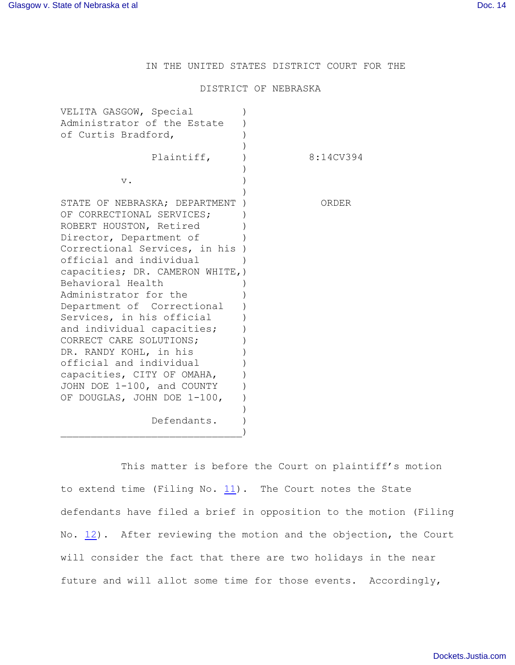IN THE UNITED STATES DISTRICT COURT FOR THE

## DISTRICT OF NEBRASKA

| VELITA GASGOW, Special<br>Administrator of the Estate<br>of Curtis Bradford,                                                                                                                                                                                                                                                                                                                                                                                                                                                       |           |
|------------------------------------------------------------------------------------------------------------------------------------------------------------------------------------------------------------------------------------------------------------------------------------------------------------------------------------------------------------------------------------------------------------------------------------------------------------------------------------------------------------------------------------|-----------|
| Plaintiff,                                                                                                                                                                                                                                                                                                                                                                                                                                                                                                                         | 8:14CV394 |
| $V$ .                                                                                                                                                                                                                                                                                                                                                                                                                                                                                                                              |           |
| STATE OF NEBRASKA; DEPARTMENT<br>OF CORRECTIONAL SERVICES;<br>ROBERT HOUSTON, Retired<br>Director, Department of<br>Correctional Services, in his<br>official and individual<br>capacities; DR. CAMERON WHITE, )<br>Behavioral Health<br>Administrator for the<br>Department of Correctional<br>Services, in his official<br>and individual capacities;<br>CORRECT CARE SOLUTIONS;<br>DR. RANDY KOHL, in his<br>official and individual<br>capacities, CITY OF OMAHA,<br>JOHN DOE 1-100, and COUNTY<br>OF DOUGLAS, JOHN DOE 1-100, | ORDER     |
| Defendants.                                                                                                                                                                                                                                                                                                                                                                                                                                                                                                                        |           |

This matter is before the Court on plaintiff's motion to extend time (Filing No.  $11$ ). The Court notes the State defendants have filed a brief in opposition to the motion (Filing No.  $12$ ). After reviewing the motion and the objection, the Court will consider the fact that there are two holidays in the near future and will allot some time for those events. Accordingly,